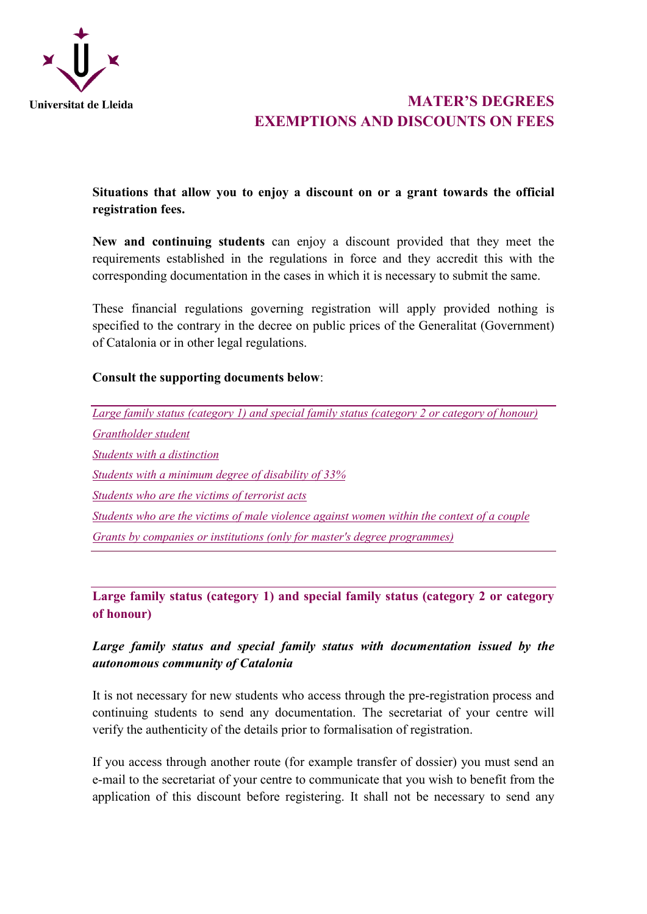

# **MATER'S DEGREES EXEMPTIONS AND DISCOUNTS ON FEES**

# <span id="page-0-1"></span>**Situations that allow you to enjoy a discount on or a grant towards the official registration fees.**

**New and continuing students** can enjoy a discount provided that they meet the requirements established in the regulations in force and they accredit this with the corresponding documentation in the cases in which it is necessary to submit the same.

These financial regulations governing registration will apply provided nothing is specified to the contrary in the decree on public prices of the Generalitat (Government) of Catalonia or in other legal regulations.

### **Consult the supporting documents below**:

*[Large family status \(category 1\) and special family status \(category 2 or category of honour\)](#page-0-0)  [Grantholder student](#page-2-0)  [Students with a distinction](#page-3-0) [Students with a minimum degree of disability of 33%](#page-4-0)  [Students who are the victims of terrorist acts](#page-5-0) [Students who are the victims of male violence against women within the context of a couple](#page-5-1)  [Grants by companies or institutions \(only for master's degree programmes\)](#page-7-0)*

<span id="page-0-0"></span>**Large family status (category 1) and special family status (category 2 or category of honour)**

# *Large family status and special family status with documentation issued by the autonomous community of Catalonia*

It is not necessary for new students who access through the pre-registration process and continuing students to send any documentation. The secretariat of your centre will verify the authenticity of the details prior to formalisation of registration.

If you access through another route (for example transfer of dossier) you must send an e-mail to the secretariat of your centre to communicate that you wish to benefit from the application of this discount before registering. It shall not be necessary to send any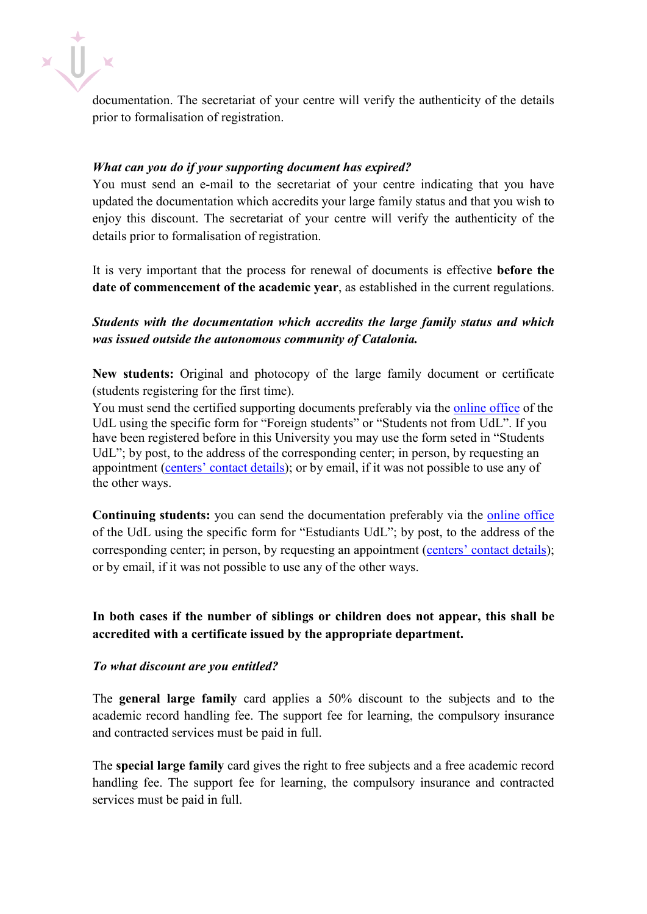

documentation. The secretariat of your centre will verify the authenticity of the details prior to formalisation of registration.

### *What can you do if your supporting document has expired?*

You must send an e-mail to the secretariat of your centre indicating that you have updated the documentation which accredits your large family status and that you wish to enjoy this discount. The secretariat of your centre will verify the authenticity of the details prior to formalisation of registration.

It is very important that the process for renewal of documents is effective **before the date of commencement of the academic year**, as established in the current regulations.

# *Students with the documentation which accredits the large family status and which was issued outside the autonomous community of Catalonia.*

**New students:** Original and photocopy of the large family document or certificate (students registering for the first time).

You must send the certified supporting documents preferably via the [online office](https://seuelectronica.udl.cat/registreelectronic.php) of the UdL using the specific form for "Foreign students" or "Students not from UdL". If you have been registered before in this University you may use the form seted in "Students UdL"; by post, to the address of the corresponding center; in person, by requesting an appointment [\(centers' contact details\)](https://www.udl.cat/ca/es/centros/); or by email, if it was not possible to use any of the other ways.

**Continuing students:** you can send the documentation preferably via the [online office](https://seuelectronica.udl.cat/registreelectronic.php) of the UdL using the specific form for "Estudiants UdL"; by post, to the address of the corresponding center; in person, by requesting an appointment [\(centers' contact details\)](https://www.udl.cat/ca/es/centros/); or by email, if it was not possible to use any of the other ways.

**In both cases if the number of siblings or children does not appear, this shall be accredited with a certificate issued by the appropriate department.** 

### *To what discount are you entitled?*

The **general large family** card applies a 50% discount to the subjects and to the academic record handling fee. The support fee for learning, the compulsory insurance and contracted services must be paid in full.

The **special large family** card gives the right to free subjects and a free academic record handling fee. The support fee for learning, the compulsory insurance and contracted services must be paid in full.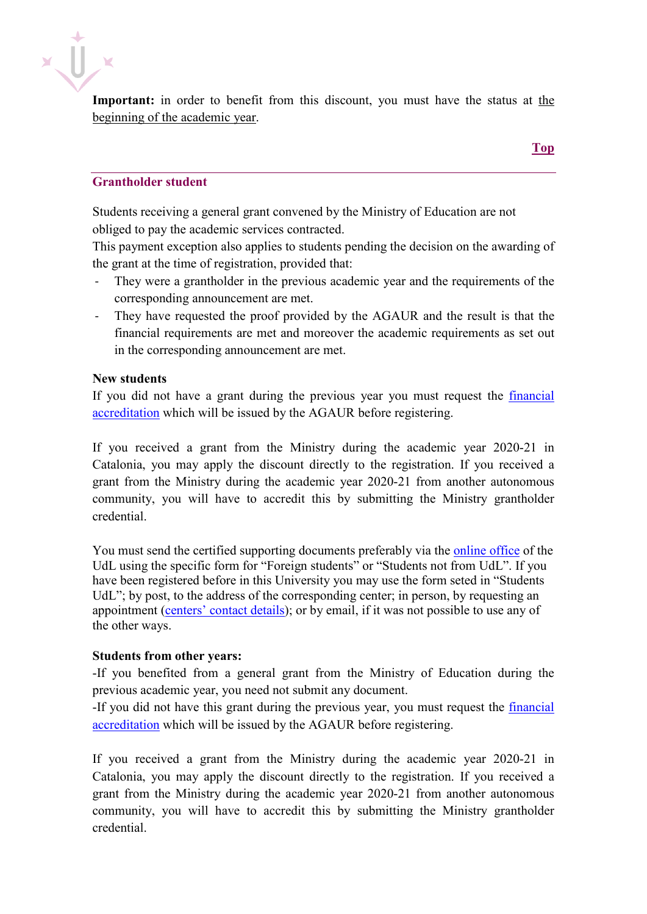

Important: in order to benefit from this discount, you must have the status at the beginning of the academic year.

### <span id="page-2-0"></span>**Grantholder student**

Students receiving a general grant convened by the Ministry of Education are not obliged to pay the academic services contracted.

This payment exception also applies to students pending the decision on the awarding of the grant at the time of registration, provided that:

- They were a grantholder in the previous academic year and the requirements of the corresponding announcement are met.
- They have requested the proof provided by the AGAUR and the result is that the financial requirements are met and moreover the academic requirements as set out in the corresponding announcement are met.

#### **New students**

If you did not have a grant during the previous year you must request the [financial](http://www.udl.cat/ca/serveis/aga/secciopreinscripciobeques/acreditaciobecari/)  [accreditation](http://www.udl.cat/ca/serveis/aga/secciopreinscripciobeques/acreditaciobecari/) which will be issued by the AGAUR before registering.

If you received a grant from the Ministry during the academic year 2020-21 in Catalonia, you may apply the discount directly to the registration. If you received a grant from the Ministry during the academic year 2020-21 from another autonomous community, you will have to accredit this by submitting the Ministry grantholder credential.

You must send the certified supporting documents preferably via the [online office](https://seuelectronica.udl.cat/registreelectronic.php) of the UdL using the specific form for "Foreign students" or "Students not from UdL". If you have been registered before in this University you may use the form seted in "Students UdL"; by post, to the address of the corresponding center; in person, by requesting an appointment [\(centers' contact details\)](https://www.udl.cat/ca/es/centros/); or by email, if it was not possible to use any of the other ways.

### **Students from other years:**

-If you benefited from a general grant from the Ministry of Education during the previous academic year, you need not submit any document.

-If you did not have this grant during the previous year, you must request the [financial](http://www.udl.cat/ca/serveis/aga/secciopreinscripciobeques/acreditaciobecari/)  [accreditation](http://www.udl.cat/ca/serveis/aga/secciopreinscripciobeques/acreditaciobecari/) which will be issued by the AGAUR before registering.

If you received a grant from the Ministry during the academic year 2020-21 in Catalonia, you may apply the discount directly to the registration. If you received a grant from the Ministry during the academic year 2020-21 from another autonomous community, you will have to accredit this by submitting the Ministry grantholder credential.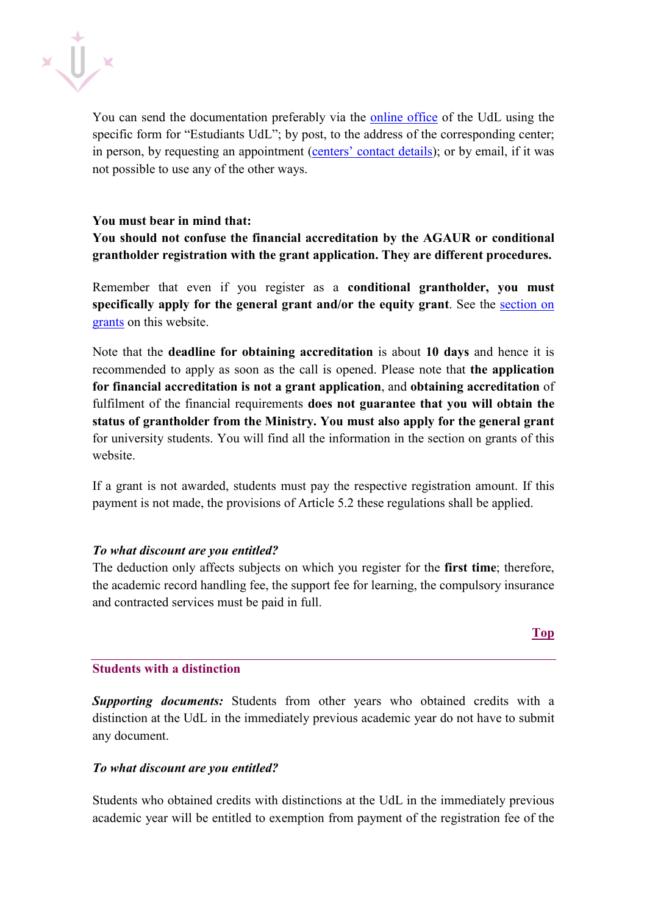

You can send the documentation preferably via the [online office](https://seuelectronica.udl.cat/registreelectronic.php) of the UdL using the specific form for "Estudiants UdL"; by post, to the address of the corresponding center; in person, by requesting an appointment [\(centers' contact details\)](https://www.udl.cat/ca/es/centros/); or by email, if it was not possible to use any of the other ways.

### **You must bear in mind that:**

# **You should not confuse the financial accreditation by the AGAUR or conditional grantholder registration with the grant application. They are different procedures.**

Remember that even if you register as a **conditional grantholder, you must specifically apply for the [general grant](https://sede.educacion.gob.es/) and/or the [equity grant](http://www10.gencat.cat/agaur_web/AppJava/catala/a_beca.jsp?categoria=universitaris&id_beca=20862)**. See the [section on](https://www.udl.cat/ca/serveis/aga/secciopreinscripciobeques/)  [grants](https://www.udl.cat/ca/serveis/aga/secciopreinscripciobeques/) on this website.

Note that the **deadline for obtaining accreditation** is about **10 days** and hence it is recommended to apply as soon as the call is opened. Please note that **the application for financial accreditation is not a grant application**, and **obtaining accreditation** of fulfilment of the financial requirements **does not guarantee that you will obtain the status of grantholder from the Ministry. You must also apply for the general grant** for university students. You will find all the information in the section on grants of this website.

If a grant is not awarded, students must pay the respective registration amount. If this payment is not made, the provisions of Article 5.2 these regulations shall be applied.

### *To what discount are you entitled?*

The deduction only affects subjects on which you register for the **first time**; therefore, the academic record handling fee, the support fee for learning, the compulsory insurance and contracted services must be paid in full.

### <span id="page-3-0"></span>**Students with a distinction**

*Supporting documents:* Students from other years who obtained credits with a distinction at the UdL in the immediately previous academic year do not have to submit any document.

### *To what discount are you entitled?*

Students who obtained credits with distinctions at the UdL in the immediately previous academic year will be entitled to exemption from payment of the registration fee of the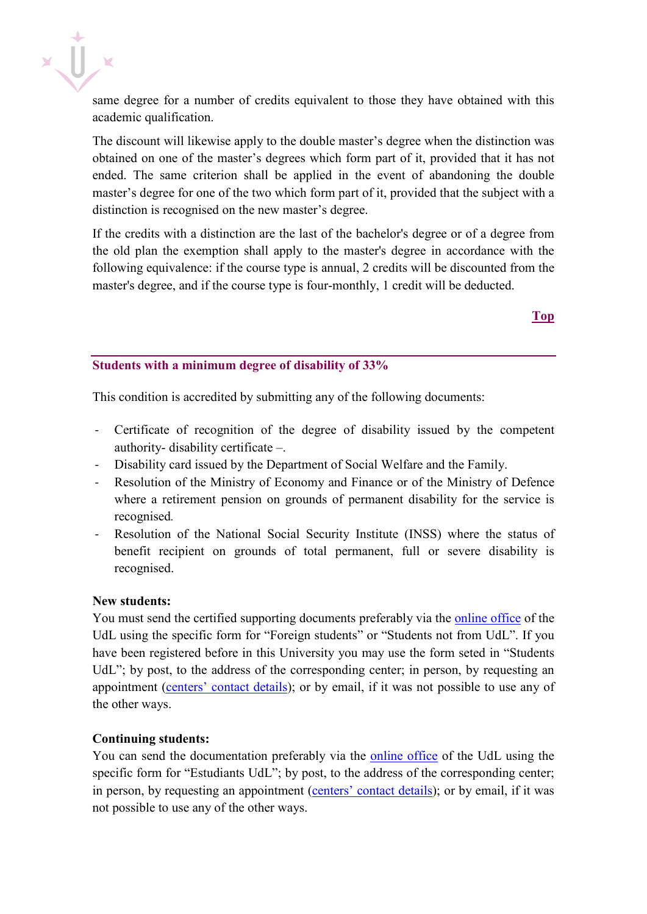

same degree for a number of credits equivalent to those they have obtained with this academic qualification.

The discount will likewise apply to the double master's degree when the distinction was obtained on one of the master's degrees which form part of it, provided that it has not ended. The same criterion shall be applied in the event of abandoning the double master's degree for one of the two which form part of it, provided that the subject with a distinction is recognised on the new master's degree.

If the credits with a distinction are the last of the bachelor's degree or of a degree from the old plan the exemption shall apply to the master's degree in accordance with the following equivalence: if the course type is annual, 2 credits will be discounted from the master's degree, and if the course type is four-monthly, 1 credit will be deducted.

**[Top](#page-0-1)**

### <span id="page-4-0"></span>**Students with a minimum degree of disability of 33%**

This condition is accredited by submitting any of the following documents:

- Certificate of recognition of the degree of disability issued by the competent authority- disability certificate –.
- Disability card issued by the Department of Social Welfare and the Family.
- Resolution of the Ministry of Economy and Finance or of the Ministry of Defence where a retirement pension on grounds of permanent disability for the service is recognised*.*
- Resolution of the National Social Security Institute (INSS) where the status of benefit recipient on grounds of total permanent, full or severe disability is recognised.

### **New students:**

You must send the certified supporting documents preferably via the [online office](https://seuelectronica.udl.cat/registreelectronic.php) of the UdL using the specific form for "Foreign students" or "Students not from UdL". If you have been registered before in this University you may use the form seted in "Students UdL"; by post, to the address of the corresponding center; in person, by requesting an appointment [\(centers' contact details\)](https://www.udl.cat/ca/es/centros/); or by email, if it was not possible to use any of the other ways.

### **Continuing students:**

You can send the documentation preferably via the [online office](https://seuelectronica.udl.cat/registreelectronic.php) of the UdL using the specific form for "Estudiants UdL"; by post, to the address of the corresponding center; in person, by requesting an appointment [\(centers' contact details\)](https://www.udl.cat/ca/es/centros/); or by email, if it was not possible to use any of the other ways.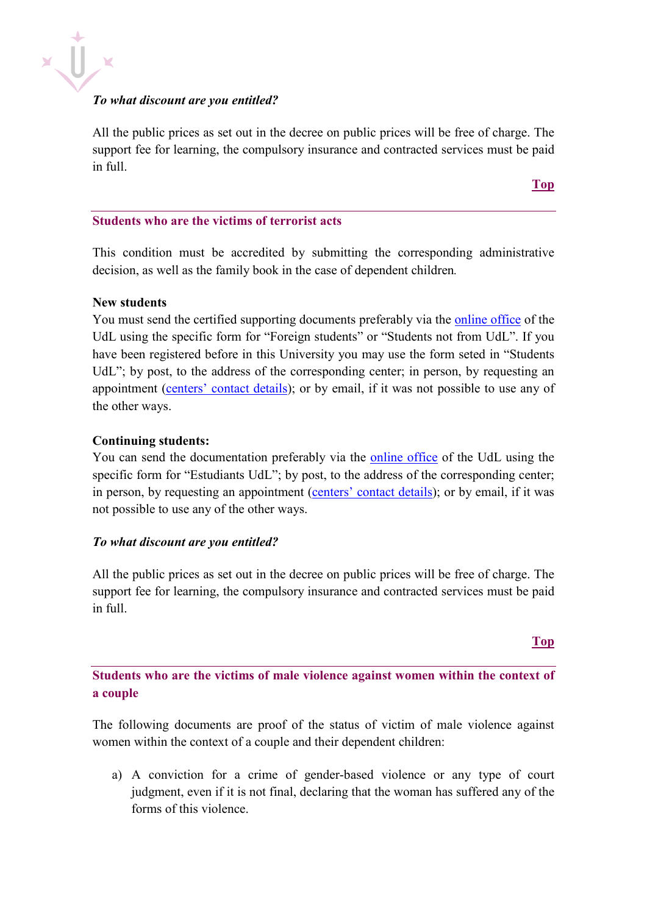

### *To what discount are you entitled?*

All the public prices as set out in the decree on public prices will be free of charge. The support fee for learning, the compulsory insurance and contracted services must be paid in full.

<span id="page-5-0"></span>**Students who are the victims of terrorist acts**

This condition must be accredited by submitting the corresponding administrative decision, as well as the family book in the case of dependent children*.*

### **New students**

You must send the certified supporting documents preferably via the [online office](https://seuelectronica.udl.cat/registreelectronic.php) of the UdL using the specific form for "Foreign students" or "Students not from UdL". If you have been registered before in this University you may use the form seted in "Students UdL"; by post, to the address of the corresponding center; in person, by requesting an appointment [\(centers' contact details\)](https://www.udl.cat/ca/es/centros/); or by email, if it was not possible to use any of the other ways.

### **Continuing students:**

You can send the documentation preferably via the [online office](https://seuelectronica.udl.cat/registreelectronic.php) of the UdL using the specific form for "Estudiants UdL"; by post, to the address of the corresponding center; in person, by requesting an appointment [\(centers' contact details\)](https://www.udl.cat/ca/es/centros/); or by email, if it was not possible to use any of the other ways.

### *To what discount are you entitled?*

All the public prices as set out in the decree on public prices will be free of charge. The support fee for learning, the compulsory insurance and contracted services must be paid in full.

### **[Top](#page-0-1)**

<span id="page-5-1"></span>**Students who are the victims of male violence against women within the context of a couple** 

The following documents are proof of the status of victim of male violence against women within the context of a couple and their dependent children:

a) A conviction for a crime of gender-based violence or any type of court judgment, even if it is not final, declaring that the woman has suffered any of the forms of this violence.

**[Top](#page-0-1)**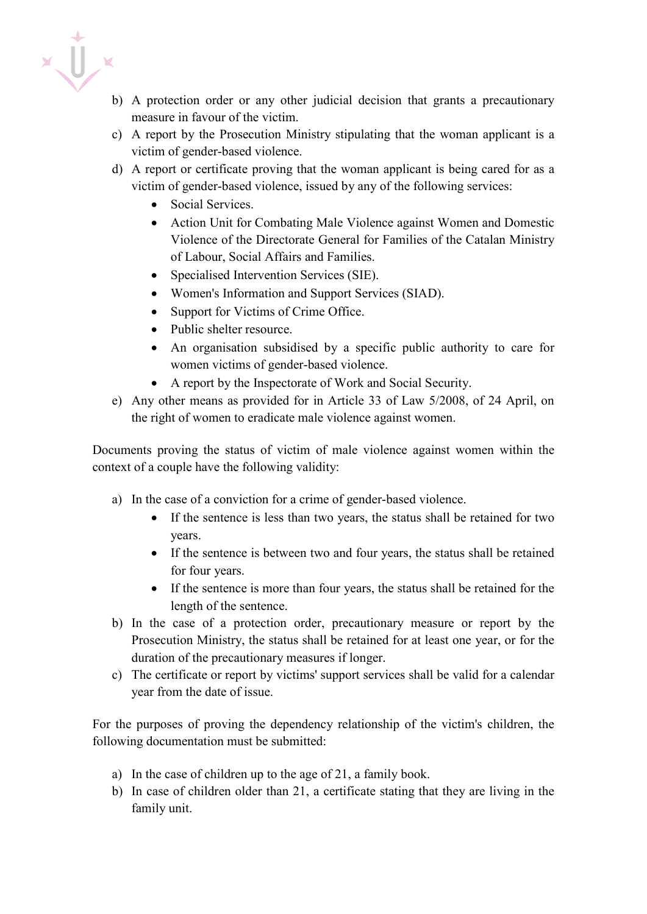$\mathbf{r}$ 

- b) A protection order or any other judicial decision that grants a precautionary measure in favour of the victim.
- c) A report by the Prosecution Ministry stipulating that the woman applicant is a victim of gender-based violence.
- d) A report or certificate proving that the woman applicant is being cared for as a victim of gender-based violence, issued by any of the following services:
	- Social Services.
	- Action Unit for Combating Male Violence against Women and Domestic Violence of the Directorate General for Families of the Catalan Ministry of Labour, Social Affairs and Families.
	- Specialised Intervention Services (SIE).
	- Women's Information and Support Services (SIAD).
	- Support for Victims of Crime Office.
	- Public shelter resource.
	- An organisation subsidised by a specific public authority to care for women victims of gender-based violence.
	- A report by the Inspectorate of Work and Social Security.
- e) Any other means as provided for in Article 33 of Law 5/2008, of 24 April, on the right of women to eradicate male violence against women.

Documents proving the status of victim of male violence against women within the context of a couple have the following validity:

- a) In the case of a conviction for a crime of gender-based violence.
	- If the sentence is less than two years, the status shall be retained for two years.
	- If the sentence is between two and four years, the status shall be retained for four years.
	- If the sentence is more than four years, the status shall be retained for the length of the sentence.
- b) In the case of a protection order, precautionary measure or report by the Prosecution Ministry, the status shall be retained for at least one year, or for the duration of the precautionary measures if longer.
- c) The certificate or report by victims' support services shall be valid for a calendar year from the date of issue.

For the purposes of proving the dependency relationship of the victim's children, the following documentation must be submitted:

- a) In the case of children up to the age of 21, a family book.
- b) In case of children older than 21, a certificate stating that they are living in the family unit.